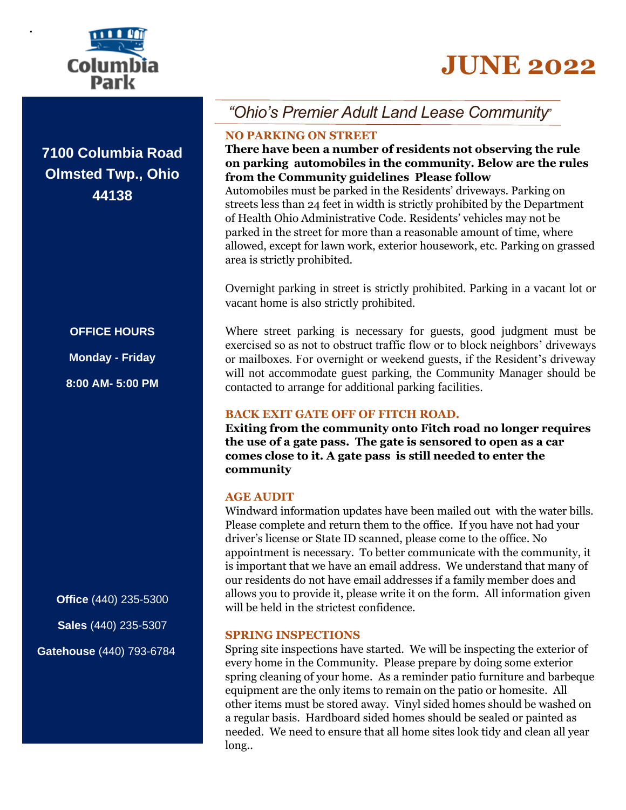# **JUNE 2022**



**.**

**7100 Columbia Road Olmsted Twp., Ohio 44138**

# **OFFICE HOURS**

**Monday - Friday**

**8:00 AM- 5:00 PM**

**Office** (440) 235-5300 **Sales** (440) 235-5307

**Gatehouse** (440) 793-6784

# *"Ohio's Premier Adult Land Lease Community*"

# **NO PARKING ON STREET**

# **There have been a number of residents not observing the rule on parking automobiles in the community. Below are the rules from the Community guidelines Please follow**

Automobiles must be parked in the Residents' driveways. Parking on streets less than 24 feet in width is strictly prohibited by the Department of Health Ohio Administrative Code. Residents' vehicles may not be parked in the street for more than a reasonable amount of time, where allowed, except for lawn work, exterior housework, etc. Parking on grassed area is strictly prohibited.

Overnight parking in street is strictly prohibited. Parking in a vacant lot or vacant home is also strictly prohibited.

Where street parking is necessary for guests, good judgment must be exercised so as not to obstruct traffic flow or to block neighbors' driveways or mailboxes. For overnight or weekend guests, if the Resident's driveway will not accommodate guest parking, the Community Manager should be contacted to arrange for additional parking facilities.

# **BACK EXIT GATE OFF OF FITCH ROAD.**

**Exiting from the community onto Fitch road no longer requires the use of a gate pass. The gate is sensored to open as a car comes close to it. A gate pass is still needed to enter the community** 

# **AGE AUDIT**

Windward information updates have been mailed out with the water bills. Please complete and return them to the office. If you have not had your driver's license or State ID scanned, please come to the office. No appointment is necessary. To better communicate with the community, it is important that we have an email address. We understand that many of our residents do not have email addresses if a family member does and allows you to provide it, please write it on the form. All information given will be held in the strictest confidence.

# **SPRING INSPECTIONS**

Spring site inspections have started. We will be inspecting the exterior of every home in the Community. Please prepare by doing some exterior spring cleaning of your home. As a reminder patio furniture and barbeque equipment are the only items to remain on the patio or homesite. All other items must be stored away. Vinyl sided homes should be washed on a regular basis. Hardboard sided homes should be sealed or painted as needed. We need to ensure that all home sites look tidy and clean all year long..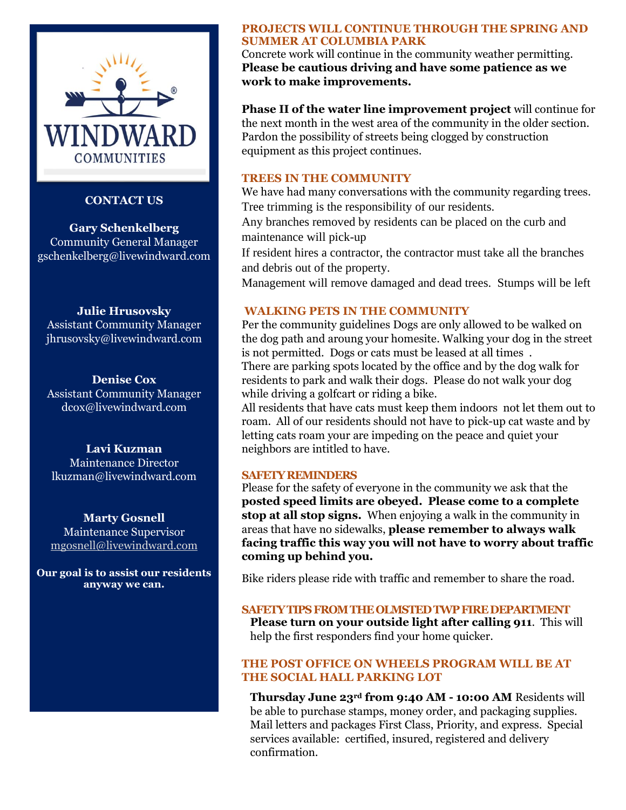

#### **CONTACT US**

**Gary Schenkelberg** Community General Manager gschenkelberg@livewindward.com

#### **Julie Hrusovsky**

Assistant Community Manager jhrusovsky@livewindward.com

**Denise Cox** Assistant Community Manager dcox@livewindward.com

#### **Lavi Kuzman**

Maintenance Director lkuzman@livewindward.com

#### **Marty Gosnell**

Maintenance Supervisor [mgosnell@livewindward.com](mailto:mgosnell@livewindward.com)

**Our goal is to assist our residents anyway we can.**

#### **PROJECTS WILL CONTINUE THROUGH THE SPRING AND SUMMER AT COLUMBIA PARK**

Concrete work will continue in the community weather permitting. **Please be cautious driving and have some patience as we work to make improvements.** 

**Phase II of the water line improvement project** will continue for the next month in the west area of the community in the older section. Pardon the possibility of streets being clogged by construction equipment as this project continues.

#### **TREES IN THE COMMUNITY**

We have had many conversations with the community regarding trees. Tree trimming is the responsibility of our residents.

Any branches removed by residents can be placed on the curb and maintenance will pick-up

If resident hires a contractor, the contractor must take all the branches and debris out of the property.

Management will remove damaged and dead trees. Stumps will be left

#### **WALKING PETS IN THE COMMUNITY**

Per the community guidelines Dogs are only allowed to be walked on the dog path and aroung your homesite. Walking your dog in the street is not permitted. Dogs or cats must be leased at all times . There are parking spots located by the office and by the dog walk for residents to park and walk their dogs. Please do not walk your dog

while driving a golfcart or riding a bike. All residents that have cats must keep them indoors not let them out to roam. All of our residents should not have to pick-up cat waste and by letting cats roam your are impeding on the peace and quiet your neighbors are intitled to have.

#### **SAFETY REMINDERS**

Please for the safety of everyone in the community we ask that the **posted speed limits are obeyed. Please come to a complete stop at all stop signs.** When enjoying a walk in the community in areas that have no sidewalks, **please remember to always walk facing traffic this way you will not have to worry about traffic coming up behind you.**

Bike riders please ride with traffic and remember to share the road.

#### **SAFETY TIPS FROM THE OLMSTED TWP FIRE DEPARTMENT**

**Please turn on your outside light after calling 911**. This will help the first responders find your home quicker.

#### **THE POST OFFICE ON WHEELS PROGRAM WILL BE AT THE SOCIAL HALL PARKING LOT**

**Thursday June 23rd from 9:40 AM - 10:00 AM** Residents will be able to purchase stamps, money order, and packaging supplies. Mail letters and packages First Class, Priority, and express. Special services available: certified, insured, registered and delivery confirmation.